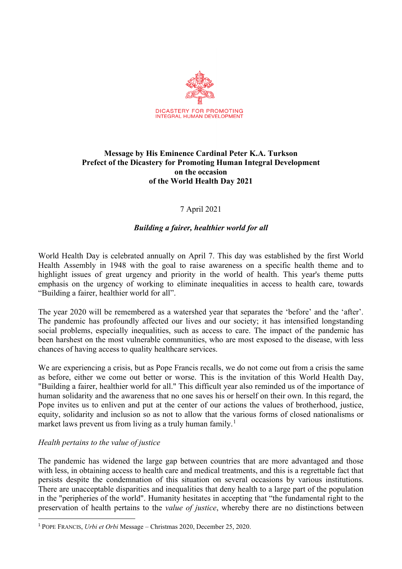

### **Message by His Eminence Cardinal Peter K.A. Turkson Prefect of the Dicastery for Promoting Human Integral Development on the occasion of the World Health Day 2021**

# 7 April 2021

# *Building a fairer, healthier world for all*

World Health Day is celebrated annually on April 7. This day was established by the first World Health Assembly in 1948 with the goal to raise awareness on a specific health theme and to highlight issues of great urgency and priority in the world of health. This year's theme putts emphasis on the urgency of working to eliminate inequalities in access to health care, towards "Building a fairer, healthier world for all".

The year 2020 will be remembered as a watershed year that separates the 'before' and the 'after'. The pandemic has profoundly affected our lives and our society; it has intensified longstanding social problems, especially inequalities, such as access to care. The impact of the pandemic has been harshest on the most vulnerable communities, who are most exposed to the disease, with less chances of having access to quality healthcare services.

We are experiencing a crisis, but as Pope Francis recalls, we do not come out from a crisis the same as before, either we come out better or worse. This is the invitation of this World Health Day, "Building a fairer, healthier world for all." This difficult year also reminded us of the importance of human solidarity and the awareness that no one saves his or herself on their own. In this regard, the Pope invites us to enliven and put at the center of our actions the values of brotherhood, justice, equity, solidarity and inclusion so as not to allow that the various forms of closed nationalisms or market laws prevent us from living as a truly human family.<sup>[1](#page-0-0)</sup>

# *Health pertains to the value of justice*

The pandemic has widened the large gap between countries that are more advantaged and those with less, in obtaining access to health care and medical treatments, and this is a regrettable fact that persists despite the condemnation of this situation on several occasions by various institutions. There are unacceptable disparities and inequalities that deny health to a large part of the population in the "peripheries of the world". Humanity hesitates in accepting that "the fundamental right to the preservation of health pertains to the *value of justice*, whereby there are no distinctions between

<span id="page-0-0"></span><sup>1</sup> POPE FRANCIS, *Urbi et Orbi* Message – Christmas 2020, December 25, 2020.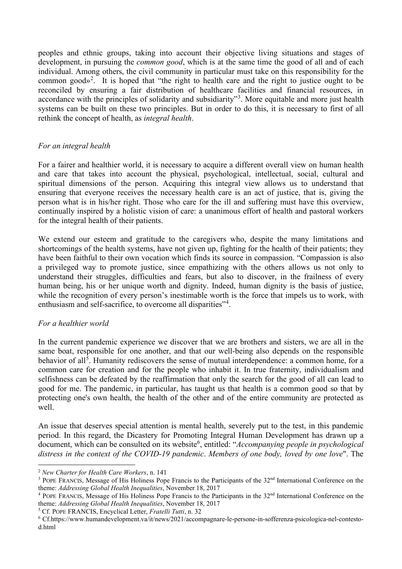peoples and ethnic groups, taking into account their objective living situations and stages of development, in pursuing the *common good*, which is at the same time the good of all and of each individual. Among others, the civil community in particular must take on this responsibility for the common good»<sup>[2](#page-1-0)</sup>. It is hoped that "the right to health care and the right to justice ought to be reconciled by ensuring a fair distribution of healthcare facilities and financial resources, in accordance with the principles of solidarity and subsidiarity"<sup>[3](#page-1-1)</sup>. More equitable and more just health systems can be built on these two principles. But in order to do this, it is necessary to first of all rethink the concept of health, as *integral health*.

# *For an integral health*

For a fairer and healthier world, it is necessary to acquire a different overall view on human health and care that takes into account the physical, psychological, intellectual, social, cultural and spiritual dimensions of the person. Acquiring this integral view allows us to understand that ensuring that everyone receives the necessary health care is an act of justice, that is, giving the person what is in his/her right. Those who care for the ill and suffering must have this overview, continually inspired by a holistic vision of care: a unanimous effort of health and pastoral workers for the integral health of their patients.

We extend our esteem and gratitude to the caregivers who, despite the many limitations and shortcomings of the health systems, have not given up, fighting for the health of their patients; they have been faithful to their own vocation which finds its source in compassion. "Compassion is also a privileged way to promote justice, since empathizing with the others allows us not only to understand their struggles, difficulties and fears, but also to discover, in the frailness of every human being, his or her unique worth and dignity. Indeed, human dignity is the basis of justice, while the recognition of every person's inestimable worth is the force that impels us to work, with enthusiasm and self-sacrifice, to overcome all disparities"<sup>[4](#page-1-2)</sup>.

#### *For a healthier world*

In the current pandemic experience we discover that we are brothers and sisters, we are all in the same boat, responsible for one another, and that our well-being also depends on the responsible behavior of all<sup>[5](#page-1-3)</sup>. Humanity rediscovers the sense of mutual interdependence: a common home, for a common care for creation and for the people who inhabit it. In true fraternity, individualism and selfishness can be defeated by the reaffirmation that only the search for the good of all can lead to good for me. The pandemic, in particular, has taught us that health is a common good so that by protecting one's own health, the health of the other and of the entire community are protected as well.

An issue that deserves special attention is mental health, severely put to the test, in this pandemic period. In this regard, the Dicastery for Promoting Integral Human Development has drawn up a document, which can be consulted on its website<sup>[6](#page-1-4)</sup>, entitled: "*Accompanying people in psychological distress in the context of the COVID-19 pandemic*. *Members of one body, loved by one love*". The

<span id="page-1-0"></span><sup>2</sup> *New Charter for Health Care Workers*, n. 141

<span id="page-1-1"></span> $3$  POPE FRANCIS, Message of His Holiness Pope Francis to the Participants of the  $32<sup>nd</sup>$  International Conference on the theme: *Addressing Global Health Inequalities*, November 18, 2017

<span id="page-1-2"></span><sup>&</sup>lt;sup>4</sup> POPE FRANCIS, Message of His Holiness Pope Francis to the Participants in the 32<sup>nd</sup> International Conference on the theme: *Addressing Global Health Inequalities*, November 18, 2017

<span id="page-1-3"></span><sup>5</sup> Cf. POPE FRANCIS, Encyclical Letter, *Fratelli Tutti*, n. 32

<span id="page-1-4"></span><sup>6</sup> Cf.https://www.humandevelopment.va/it/news/2021/accompagnare-le-persone-in-sofferenza-psicologica-nel-contestod.html